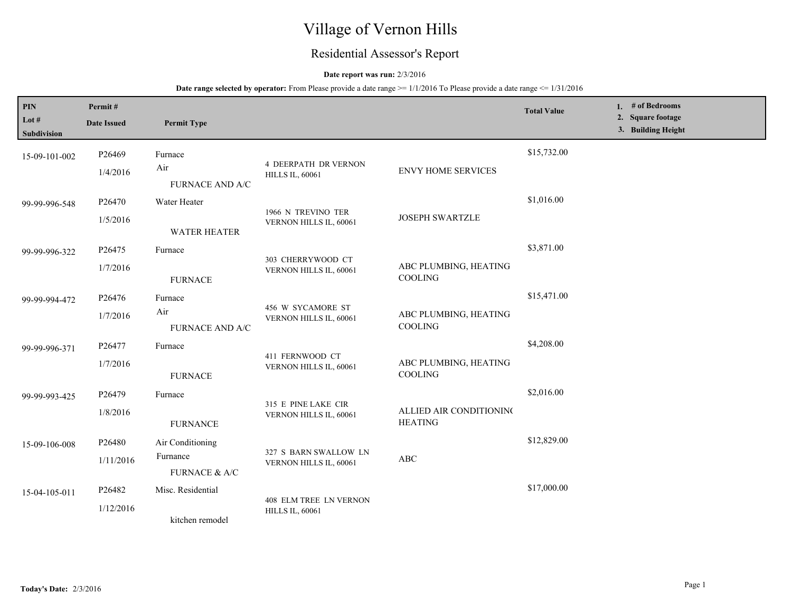# Village of Vernon Hills

# Residential Assessor's Report

# **Date report was run:** 2/3/2016

**Date range selected by operator:** From Please provide a date range  $\ge$ = 1/1/2016 To Please provide a date range  $\le$  1/31/2016

| PIN<br>Lot #<br>Subdivision | Permit#<br><b>Date Issued</b> | <b>Permit Type</b>                               |                                                         |                                           | <b>Total Value</b> | 1. $#$ of Bedrooms<br>2. Square footage<br>3. Building Height |
|-----------------------------|-------------------------------|--------------------------------------------------|---------------------------------------------------------|-------------------------------------------|--------------------|---------------------------------------------------------------|
| 15-09-101-002               | P26469<br>1/4/2016            | Furnace<br>Air<br><b>FURNACE AND A/C</b>         | <b>4 DEERPATH DR VERNON</b><br><b>HILLS IL, 60061</b>   | <b>ENVY HOME SERVICES</b>                 | \$15,732.00        |                                                               |
| 99-99-996-548               | P26470<br>1/5/2016            | Water Heater<br><b>WATER HEATER</b>              | 1966 N TREVINO TER<br>VERNON HILLS IL, 60061            | <b>JOSEPH SWARTZLE</b>                    | \$1,016.00         |                                                               |
| 99-99-996-322               | P26475<br>1/7/2016            | Furnace<br><b>FURNACE</b>                        | 303 CHERRYWOOD CT<br>VERNON HILLS IL, 60061             | ABC PLUMBING, HEATING<br>COOLING          | \$3,871.00         |                                                               |
| 99-99-994-472               | P26476<br>1/7/2016            | Furnace<br>Air<br><b>FURNACE AND A/C</b>         | 456 W SYCAMORE ST<br>VERNON HILLS IL, 60061             | ABC PLUMBING, HEATING<br>COOLING          | \$15,471.00        |                                                               |
| 99-99-996-371               | P26477<br>1/7/2016            | Furnace<br><b>FURNACE</b>                        | 411 FERNWOOD CT<br>VERNON HILLS IL, 60061               | ABC PLUMBING, HEATING<br>COOLING          | \$4,208.00         |                                                               |
| 99-99-993-425               | P26479<br>1/8/2016            | Furnace<br><b>FURNANCE</b>                       | 315 E PINE LAKE CIR<br>VERNON HILLS IL, 60061           | ALLIED AIR CONDITIONING<br><b>HEATING</b> | \$2,016.00         |                                                               |
| 15-09-106-008               | P26480<br>1/11/2016           | Air Conditioning<br>Furnance<br>FURNACE $\&$ A/C | 327 S BARN SWALLOW LN<br>VERNON HILLS IL, 60061         | ABC                                       | \$12,829.00        |                                                               |
| 15-04-105-011               | P26482<br>1/12/2016           | Misc. Residential<br>kitchen remodel             | <b>408 ELM TREE LN VERNON</b><br><b>HILLS IL, 60061</b> |                                           | \$17,000.00        |                                                               |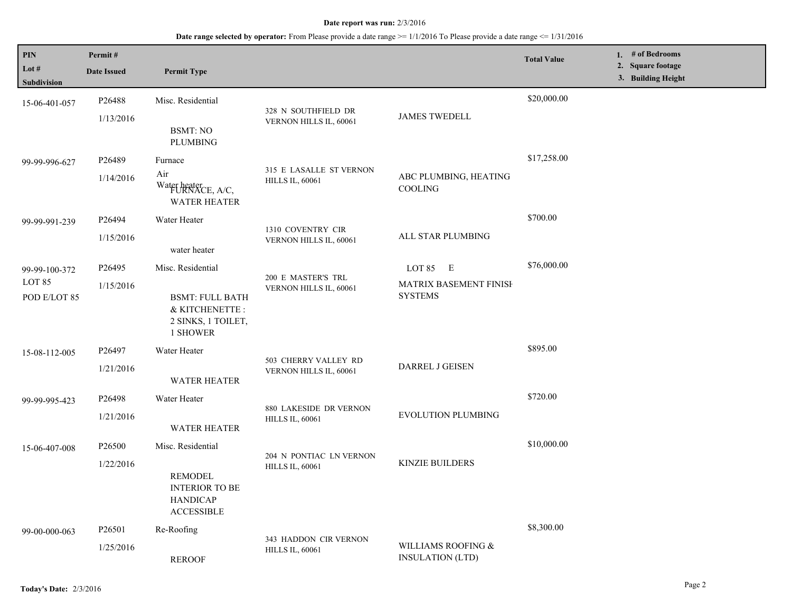#### **Date report was run:** 2/3/2016

# **Date range selected by operator:** From Please provide a date range >= 1/1/2016 To Please provide a date range <= 1/31/2016

| PIN                    | Permit#            |                                                                                 |                                                   |                                                 | <b>Total Value</b> | 1. # of Bedrooms                        |
|------------------------|--------------------|---------------------------------------------------------------------------------|---------------------------------------------------|-------------------------------------------------|--------------------|-----------------------------------------|
| Lot #<br>Subdivision   | <b>Date Issued</b> | <b>Permit Type</b>                                                              |                                                   |                                                 |                    | 2. Square footage<br>3. Building Height |
| 15-06-401-057          | P26488             | Misc. Residential                                                               |                                                   |                                                 | \$20,000.00        |                                         |
|                        | 1/13/2016          | <b>BSMT: NO</b><br>PLUMBING                                                     | 328 N SOUTHFIELD DR<br>VERNON HILLS IL, 60061     | <b>JAMES TWEDELL</b>                            |                    |                                         |
| 99-99-996-627          | P26489             | Furnace                                                                         |                                                   |                                                 | \$17,258.00        |                                         |
|                        | 1/14/2016          | Air<br>Water heater<br>FURNACE, A/C,<br><b>WATER HEATER</b>                     | 315 E LASALLE ST VERNON<br><b>HILLS IL, 60061</b> | ABC PLUMBING, HEATING<br>COOLING                |                    |                                         |
| 99-99-991-239          | P26494             | Water Heater                                                                    |                                                   |                                                 | \$700.00           |                                         |
|                        | 1/15/2016          | water heater                                                                    | 1310 COVENTRY CIR<br>VERNON HILLS IL, 60061       | ALL STAR PLUMBING                               |                    |                                         |
| 99-99-100-372          | P <sub>26495</sub> | Misc. Residential                                                               |                                                   | LOT 85 E                                        | \$76,000.00        |                                         |
| LOT 85<br>POD E/LOT 85 | 1/15/2016          | <b>BSMT: FULL BATH</b><br>& KITCHENETTE :<br>2 SINKS, 1 TOILET,<br>1 SHOWER     | 200 E MASTER'S TRL<br>VERNON HILLS IL, 60061      | <b>MATRIX BASEMENT FINISH</b><br><b>SYSTEMS</b> |                    |                                         |
| 15-08-112-005          | P26497             | Water Heater                                                                    |                                                   |                                                 | \$895.00           |                                         |
|                        | 1/21/2016          | <b>WATER HEATER</b>                                                             | 503 CHERRY VALLEY RD<br>VERNON HILLS IL, 60061    | <b>DARREL J GEISEN</b>                          |                    |                                         |
| 99-99-995-423          | P <sub>26498</sub> | Water Heater                                                                    | 880 LAKESIDE DR VERNON<br><b>HILLS IL, 60061</b>  | <b>EVOLUTION PLUMBING</b>                       | \$720.00           |                                         |
|                        | 1/21/2016          | <b>WATER HEATER</b>                                                             |                                                   |                                                 |                    |                                         |
| 15-06-407-008          | P26500             | Misc. Residential                                                               |                                                   |                                                 | \$10,000.00        |                                         |
|                        | 1/22/2016          | <b>REMODEL</b><br><b>INTERIOR TO BE</b><br><b>HANDICAP</b><br><b>ACCESSIBLE</b> | 204 N PONTIAC LN VERNON<br><b>HILLS IL, 60061</b> | <b>KINZIE BUILDERS</b>                          |                    |                                         |
| 99-00-000-063          | P <sub>26501</sub> | Re-Roofing                                                                      | 343 HADDON CIR VERNON                             |                                                 | \$8,300.00         |                                         |
|                        | 1/25/2016          | <b>REROOF</b>                                                                   | <b>HILLS IL, 60061</b>                            | WILLIAMS ROOFING &<br><b>INSULATION (LTD)</b>   |                    |                                         |